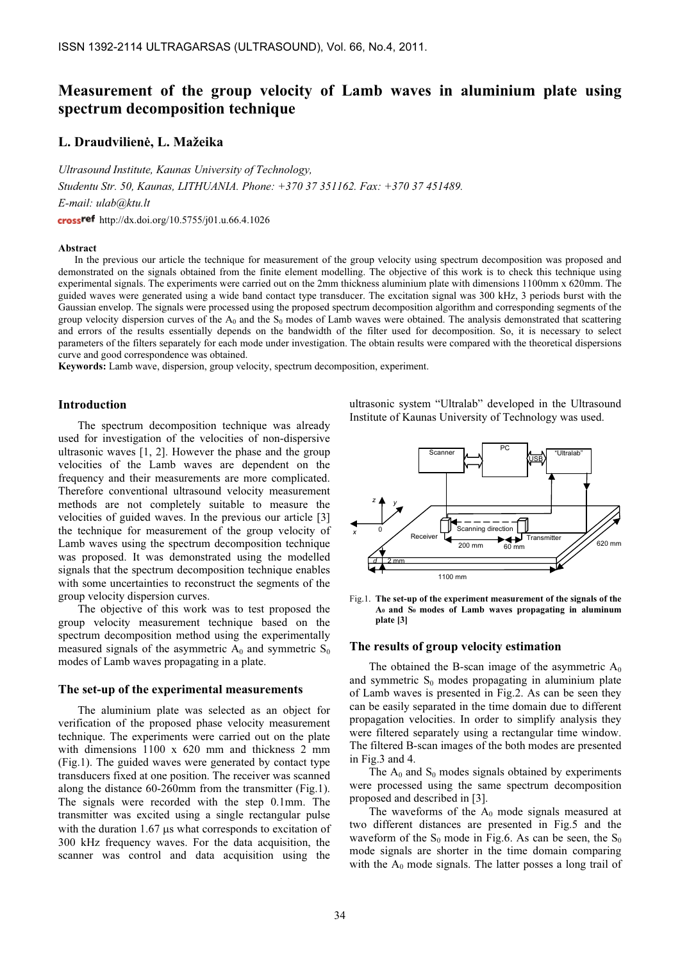# Measurement of the group velocity of Lamb waves in aluminium plate using spectrum decomposition technique

## L. Draudvilienė, L. Mažeika

Ultrasound Institute, Kaunas University of Technology, Studentu Str. 50, Kaunas, LITHUANIA. Phone: +370 37 351162. Fax: +370 37 451489. E-mail: ulab@ktu.lt http://dx.doi.org/10.5755/j01.u.66.4.1026

#### Abstract

In the previous our article the technique for measurement of the group velocity using spectrum decomposition was proposed and demonstrated on the signals obtained from the finite element modelling. The objective of this work is to check this technique using experimental signals. The experiments were carried out on the 2mm thickness aluminium plate with dimensions 1100mm x 620mm. The guided waves were generated using a wide band contact type transducer. The excitation signal was 300 kHz, 3 periods burst with the Gaussian envelop. The signals were processed using the proposed spectrum decomposition algorithm and corresponding segments of the group velocity dispersion curves of the  $A_0$  and the  $S_0$  modes of Lamb waves were obtained. The analysis demonstrated that scattering and errors of the results essentially depends on the bandwidth of the filter used for decomposition. So, it is necessary to select parameters of the filters separately for each mode under investigation. The obtain results were compared with the theoretical dispersions curve and good correspondence was obtained.

Keywords: Lamb wave, dispersion, group velocity, spectrum decomposition, experiment.

## Introduction

The spectrum decomposition technique was already used for investigation of the velocities of non-dispersive ultrasonic waves [1, 2]. However the phase and the group velocities of the Lamb waves are dependent on the frequency and their measurements are more complicated. Therefore conventional ultrasound velocity measurement methods are not completely suitable to measure the velocities of guided waves. In the previous our article [3] the technique for measurement of the group velocity of Lamb waves using the spectrum decomposition technique was proposed. It was demonstrated using the modelled signals that the spectrum decomposition technique enables with some uncertainties to reconstruct the segments of the group velocity dispersion curves.

The objective of this work was to test proposed the group velocity measurement technique based on the spectrum decomposition method using the experimentally measured signals of the asymmetric  $A_0$  and symmetric  $S_0$ modes of Lamb waves propagating in a plate.

### The set-up of the experimental measurements

The aluminium plate was selected as an object for verification of the proposed phase velocity measurement technique. The experiments were carried out on the plate with dimensions 1100 x 620 mm and thickness 2 mm (Fig.1). The guided waves were generated by contact type transducers fixed at one position. The receiver was scanned along the distance 60-260mm from the transmitter (Fig.1). The signals were recorded with the step 0.1mm. The transmitter was excited using a single rectangular pulse with the duration 1.67  $\mu$ s what corresponds to excitation of 300 kHz frequency waves. For the data acquisition, the scanner was control and data acquisition using the

ultrasonic system "Ultralab" developed in the Ultrasound Institute of Kaunas University of Technology was used.



Fig.1. The set-up of the experiment measurement of the signals of the A0 and S0 modes of Lamb waves propagating in aluminum plate [3]

## The results of group velocity estimation

The obtained the B-scan image of the asymmetric  $A_0$ and symmetric  $S_0$  modes propagating in aluminium plate of Lamb waves is presented in Fig.2. As can be seen they can be easily separated in the time domain due to different propagation velocities. In order to simplify analysis they were filtered separately using a rectangular time window. The filtered B-scan images of the both modes are presented in Fig.3 and 4.

The  $A_0$  and  $S_0$  modes signals obtained by experiments were processed using the same spectrum decomposition proposed and described in [3].

The waveforms of the  $A_0$  mode signals measured at two different distances are presented in Fig.5 and the waveform of the  $S_0$  mode in Fig.6. As can be seen, the  $S_0$ mode signals are shorter in the time domain comparing with the  $A_0$  mode signals. The latter posses a long trail of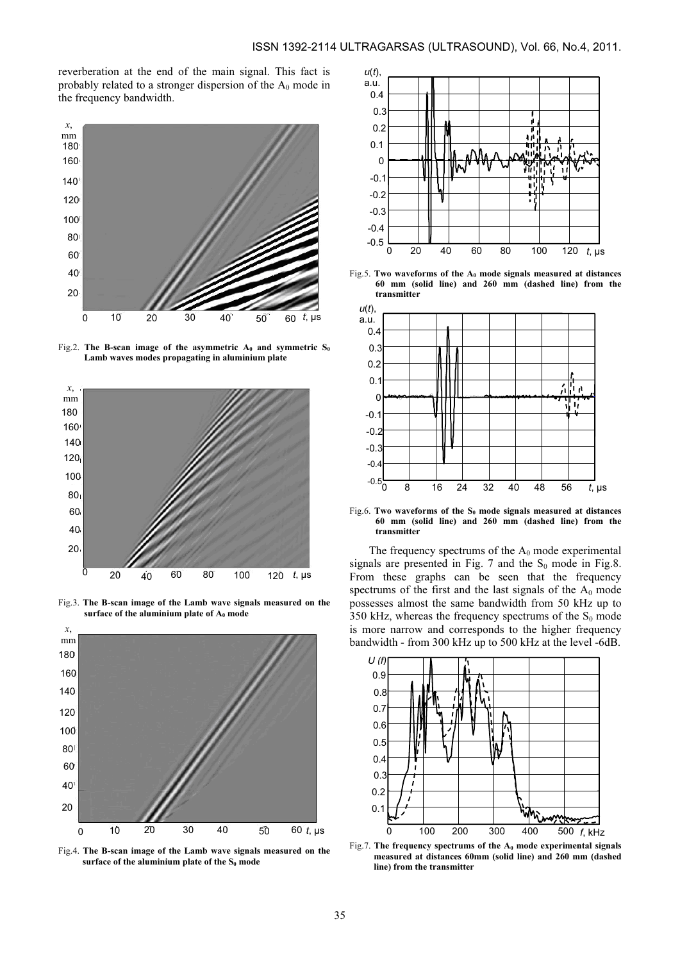reverberation at the end of the main signal. This fact is probably related to a stronger dispersion of the  $A_0$  mode in the frequency bandwidth.



Fig.2. The B-scan image of the asymmetric  $A_0$  and symmetric  $S_0$ Lamb waves modes propagating in aluminium plate



Fig.3. The B-scan image of the Lamb wave signals measured on the surface of the aluminium plate of  $A_0$  mode



Fig.4. The B-scan image of the Lamb wave signals measured on the surface of the aluminium plate of the  $S_0$  mode



Fig.5. Two waveforms of the  $A_0$  mode signals measured at distances 60 mm (solid line) and 260 mm (dashed line) from the transmitter



Fig.6. Two waveforms of the  $S_0$  mode signals measured at distances 60 mm (solid line) and 260 mm (dashed line) from the transmitter

The frequency spectrums of the  $A_0$  mode experimental signals are presented in Fig. 7 and the  $S_0$  mode in Fig.8. From these graphs can be seen that the frequency spectrums of the first and the last signals of the  $A_0$  mode possesses almost the same bandwidth from 50 kHz up to 350 kHz, whereas the frequency spectrums of the  $S_0$  mode is more narrow and corresponds to the higher frequency bandwidth - from 300 kHz up to 500 kHz at the level -6dB.



Fig.7. The frequency spectrums of the  $A_0$  mode experimental signals measured at distances 60mm (solid line) and 260 mm (dashed line) from the transmitter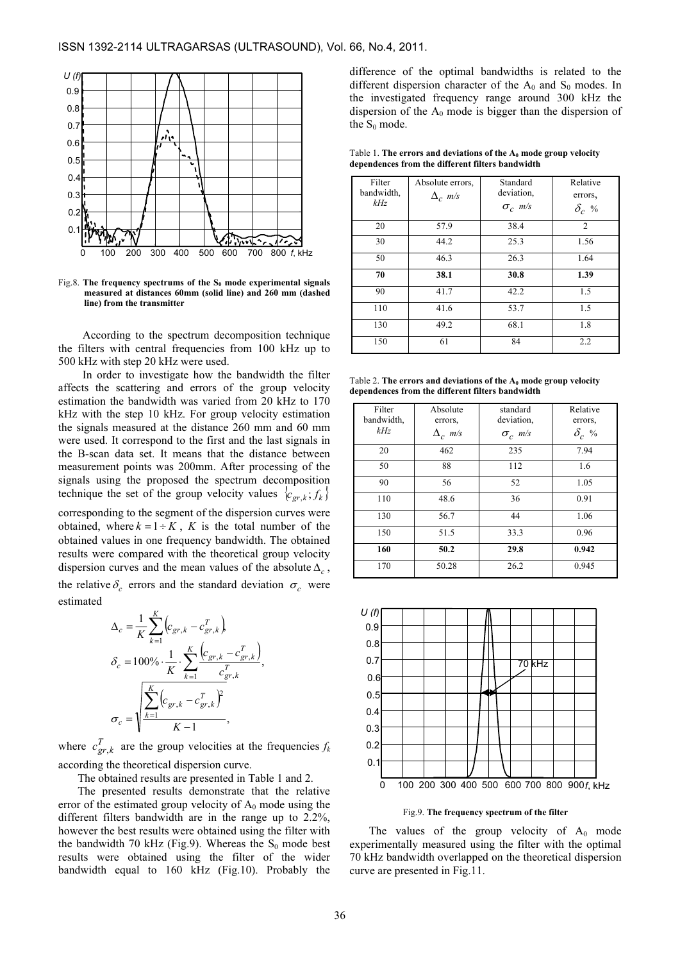

Fig.8. The frequency spectrums of the  $S_0$  mode experimental signals measured at distances 60mm (solid line) and 260 mm (dashed line) from the transmitter

According to the spectrum decomposition technique the filters with central frequencies from 100 kHz up to 500 kHz with step 20 kHz were used.

In order to investigate how the bandwidth the filter affects the scattering and errors of the group velocity estimation the bandwidth was varied from 20 kHz to 170 kHz with the step 10 kHz. For group velocity estimation the signals measured at the distance 260 mm and 60 mm were used. It correspond to the first and the last signals in the B-scan data set. It means that the distance between measurement points was 200mm. After processing of the signals using the proposed the spectrum decomposition technique the set of the group velocity values  ${c_{gr,k}}; f_k$ 

corresponding to the segment of the dispersion curves were obtained, where  $k = 1 \div K$ , K is the total number of the obtained values in one frequency bandwidth. The obtained results were compared with the theoretical group velocity dispersion curves and the mean values of the absolute  $\Delta_c$ , the relative  $\delta_c$  errors and the standard deviation  $\sigma_c$  were estimated

$$
\Delta_c = \frac{1}{K} \sum_{k=1}^{K} \left( c_{gr,k} - c_{gr,k}^T \right),
$$
  

$$
\delta_c = 100\% \cdot \frac{1}{K} \cdot \sum_{k=1}^{K} \frac{\left( c_{gr,k} - c_{gr,k}^T \right)}{c_{gr,k}^T},
$$
  

$$
\sigma_c = \sqrt{\frac{\sum_{k=1}^{K} \left( c_{gr,k} - c_{gr,k}^T \right)^2}{K - 1}},
$$

where  $c_{gr,k}^T$  are the group velocities at the frequencies  $f_k$ according the theoretical dispersion curve.

The obtained results are presented in Table 1 and 2.

The presented results demonstrate that the relative error of the estimated group velocity of  $A_0$  mode using the different filters bandwidth are in the range up to 2.2%, however the best results were obtained using the filter with the bandwidth 70 kHz (Fig.9). Whereas the  $S_0$  mode best results were obtained using the filter of the wider bandwidth equal to 160 kHz (Fig.10). Probably the difference of the optimal bandwidths is related to the different dispersion character of the  $A_0$  and  $S_0$  modes. In the investigated frequency range around 300 kHz the dispersion of the  $A_0$  mode is bigger than the dispersion of the  $S_0$  mode.

Table 1. The errors and deviations of the  $A_0$  mode group velocity dependences from the different filters bandwidth

| Filter<br>bandwidth,<br>kHz | Absolute errors.<br>$\Delta_c$ m/s | Standard<br>deviation.<br>$\sigma_c$ m/s | Relative<br>errors,<br>$\delta_c$ % |
|-----------------------------|------------------------------------|------------------------------------------|-------------------------------------|
| 20                          | 57.9                               | 38.4                                     | $\overline{c}$                      |
| 30                          | 44.2                               | 25.3                                     | 1.56                                |
| 50                          | 46.3                               | 26.3                                     | 1.64                                |
| 70                          | 38.1                               | 30.8                                     | 1.39                                |
| 90                          | 41.7                               | 42.2                                     | 1.5                                 |
| 110                         | 41.6                               | 53.7                                     | 1.5                                 |
| 130                         | 49.2                               | 68.1                                     | 1.8                                 |
| 150                         | 61                                 | 84                                       | 2.2                                 |

Table 2. The errors and deviations of the  $A_0$  mode group velocity dependences from the different filters bandwidth

| Filter     | Absolute       | standard       | Relative     |
|------------|----------------|----------------|--------------|
| bandwidth, | errors,        | deviation,     | errors,      |
| kHz        | $\Delta_c$ m/s | $\sigma_c$ m/s | $\delta_c$ % |
| 20         | 462            | 235            | 7.94         |
| 50         | 88             | 112            | 1.6          |
| 90         | 56             | 52             | 1.05         |
| 110        | 48.6           | 36             | 0.91         |
| 130        | 56.7           | 44             | 1.06         |
| 150        | 51.5           | 33.3           | 0.96         |
| 160        | 50.2           | 29.8           | 0.942        |
| 170        | 50.28          | 26.2           | 0.945        |



Fig.9. The frequency spectrum of the filter

The values of the group velocity of  $A_0$  mode experimentally measured using the filter with the optimal 70 kHz bandwidth overlapped on the theoretical dispersion curve are presented in Fig.11.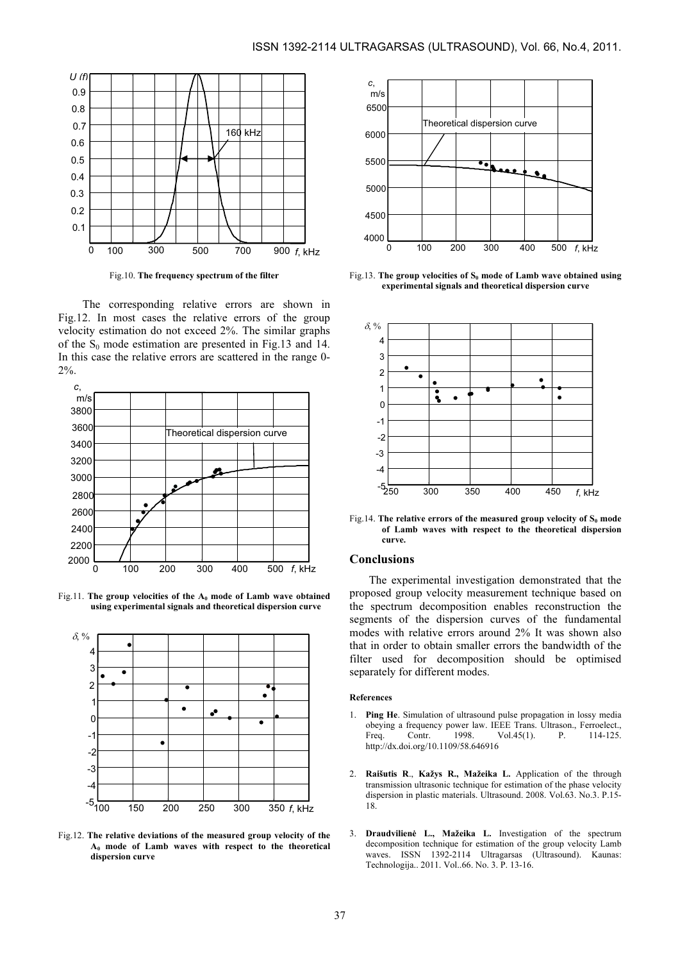

Fig.10. The frequency spectrum of the filter

The corresponding relative errors are shown in Fig.12. In most cases the relative errors of the group velocity estimation do not exceed 2%. The similar graphs of the  $S_0$  mode estimation are presented in Fig.13 and 14. In this case the relative errors are scattered in the range 0- 2%.



Fig.11. The group velocities of the  $A_0$  mode of Lamb wave obtained using experimental signals and theoretical dispersion curve



Fig.12. The relative deviations of the measured group velocity of the  $A_0$  mode of Lamb waves with respect to the theoretical dispersion curve



Fig.13. The group velocities of  $S_0$  mode of Lamb wave obtained using experimental signals and theoretical dispersion curve



Fig.14. The relative errors of the measured group velocity of  $S_0$  mode of Lamb waves with respect to the theoretical dispersion curve.

## Conclusions

The experimental investigation demonstrated that the proposed group velocity measurement technique based on the spectrum decomposition enables reconstruction the segments of the dispersion curves of the fundamental modes with relative errors around 2% It was shown also that in order to obtain smaller errors the bandwidth of the filter used for decomposition should be optimised separately for different modes.

#### References

- 1. Ping He. Simulation of ultrasound pulse propagation in lossy media obeying a frequency power law. IEEE Trans. Ultrason., Ferroelect.,<br>Freq. Contr. 1998. Vol.45(1) P. 114-125. Freq. Contr. 1998. Vol.45(1). http://dx.doi.org/10.1109/58.646916
- 2. Raišutis R., Kažys R., Mažeika L. Application of the through transmission ultrasonic technique for estimation of the phase velocity dispersion in plastic materials. Ultrasound. 2008. Vol.63. No.3. P.15- 18.
- 3. Draudvilienė L., Mažeika L. Investigation of the spectrum decomposition technique for estimation of the group velocity Lamb waves. ISSN 1392-2114 Ultragarsas (Ultrasound). Kaunas: Technologija.. 2011. Vol..66. No. 3. P. 13-16.